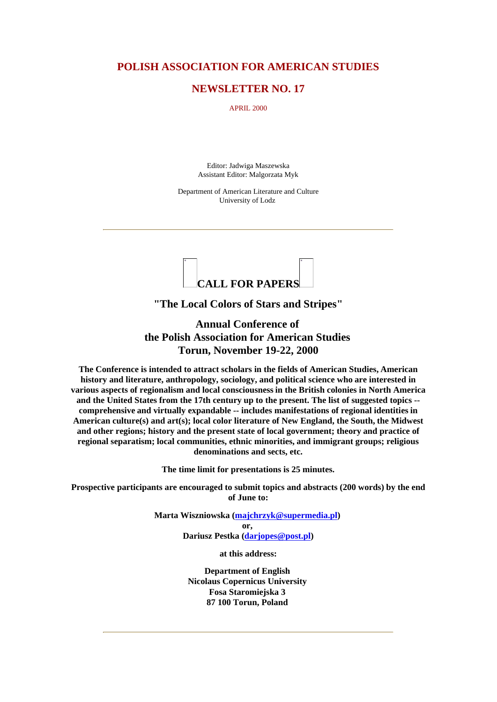### **POLISH ASSOCIATION FOR AMERICAN STUDIES**

### **NEWSLETTER NO. 17**

APRIL 2000

Editor: Jadwiga Maszewska Assistant Editor: Malgorzata Myk

Department of American Literature and Culture University of Lodz



**"The Local Colors of Stars and Stripes"**

**Annual Conference of the Polish Association for American Studies Torun, November 19-22, 2000**

**The Conference is intended to attract scholars in the fields of American Studies, American history and literature, anthropology, sociology, and political science who are interested in various aspects of regionalism and local consciousnessin the British colonies in North America and the United States from the 17th century up to the present. The list of suggested topics - comprehensive and virtually expandable -- includes manifestations of regional identities in American culture(s) and art(s); local color literature of New England, the South, the Midwest and other regions; history and the present state of local government; theory and practice of regional separatism; local communities, ethnic minorities, and immigrant groups; religious denominations and sects, etc.**

**The time limit for presentations is 25 minutes.**

**Prospective participants are encouraged to submit topics and abstracts (200 words) by the end of June to:**

> **Marta Wiszniowska (majchrzyk@supermedia.pl) or, Dariusz Pestka (darjopes@post.pl)**

> > **at this address:**

**Department of English Nicolaus Copernicus University Fosa Staromiejska 3 87 100 Torun, Poland**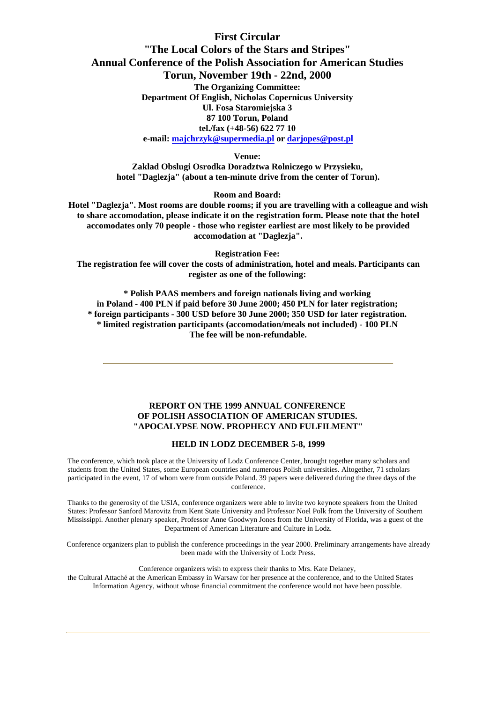### **First Circular**

# **"The Local Colors of the Stars and Stripes" Annual Conference of the Polish Association for American Studies Torun, November 19th - 22nd, 2000**

**The Organizing Committee: Department Of English, Nicholas Copernicus University Ul. Fosa Staromiejska 3 87 100 Torun, Poland tel./fax (+48-56) 622 77 10 e-mail: majchrzyk@supermedia.pl or darjopes@post.pl**

**Venue:**

**Zaklad Obslugi Osrodka Doradztwa Rolniczego w Przysieku, hotel "Daglezja" (about a ten-minute drive from the center of Torun).**

### **Room and Board:**

**Hotel "Daglezja". Most rooms are double rooms; if you are travelling with a colleague and wish to share accomodation, please indicate it on the registration form. Please note that the hotel accomodates only 70 people - those who register earliest are most likely to be provided accomodation at "Daglezja".**

**Registration Fee:**

**The registration fee will cover the costs of administration, hotel and meals. Participants can register as one of the following:**

**\* Polish PAAS members and foreign nationals living and working in Poland - 400 PLN if paid before 30 June 2000; 450 PLN for later registration; \* foreign participants - 300 USD before 30 June 2000; 350 USD for later registration. \* limited registration participants (accomodation/meals not included) - 100 PLN The fee will be non-refundable.**

### **REPORT ON THE 1999 ANNUAL CONFERENCE OF POLISH ASSOCIATION OF AMERICAN STUDIES. "APOCALYPSE NOW. PROPHECY AND FULFILMENT"**

### **HELD IN LODZ DECEMBER 5-8, 1999**

The conference, which took place at the University of Lodz Conference Center, brought together many scholars and students from the United States, some European countries and numerous Polish universities. Altogether, 71 scholars participated in the event, 17 of whom were from outside Poland. 39 papers were delivered during the three days of the conference.

Thanks to the generosity of the USIA, conference organizers were able to invite two keynote speakers from the United States: Professor Sanford Marovitz from Kent State University and Professor Noel Polk from the University of Southern Mississippi. Another plenary speaker, Professor Anne Goodwyn Jones from the University of Florida, was a guest of the Department of American Literature and Culture in Lodz.

Conference organizers plan to publish the conference proceedings in the year 2000. Preliminary arrangements have already been made with the University of Lodz Press.

Conference organizers wish to express their thanks to Mrs. Kate Delaney,

the Cultural Attaché at the American Embassy in Warsaw for her presence at the conference, and to the United States Information Agency, without whose financial commitment the conference would not have been possible.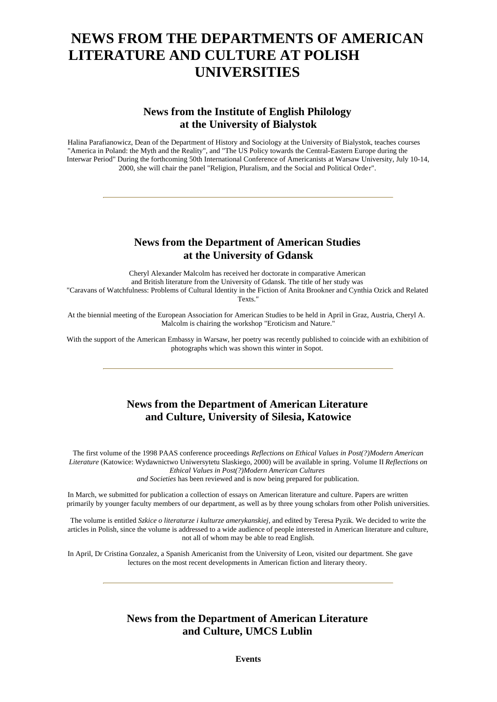# **NEWS FROM THE DEPARTMENTS OF AMERICAN LITERATURE AND CULTURE AT POLISH UNIVERSITIES**

# **News from the Institute of English Philology at the University of Bialystok**

Halina Parafianowicz, Dean of the Department of History and Sociology at the University of Bialystok, teaches courses "America in Poland: the Myth and the Reality", and "The US Policy towards the Central-Eastern Europe during the Interwar Period" During the forthcoming 50th International Conference of Americanists at Warsaw University, July 10-14, 2000, she will chair the panel "Religion, Pluralism, and the Social and Political Order".

### **News from the Department of American Studies at the University of Gdansk**

Cheryl Alexander Malcolm has received her doctorate in comparative American and British literature from the University of Gdansk. The title of her study was "Caravans of Watchfulness: Problems of Cultural Identity in the Fiction of Anita Brookner and Cynthia Ozick and Related Texts."

At the biennial meeting of the European Association for American Studies to be held in April in Graz, Austria, Cheryl A. Malcolm is chairing the workshop "Eroticism and Nature."

With the support of the American Embassy in Warsaw, her poetry was recently published to coincide with an exhibition of photographs which was shown this winter in Sopot.

# **News from the Department of American Literature and Culture, University of Silesia, Katowice**

The first volume of the 1998 PAAS conference proceedings *Reflections on Ethical Values in Post(?)Modern American Literature* (Katowice: Wydawnictwo Uniwersytetu Slaskiego, 2000) will be available in spring. Volume II *Reflections on Ethical Values in Post(?)Modern American Cultures and Societies* has been reviewed and is now being prepared for publication.

In March, we submitted for publication a collection of essays on American literature and culture. Papers are written primarily by younger faculty members of our department, as well as by three young scholars from other Polish universities.

The volume is entitled *Szkice o literaturze i kulturze amerykanskiej*, and edited by Teresa Pyzik. We decided to write the articles in Polish, since the volume is addressed to a wide audience of people interested in American literature and culture, not all of whom may be able to read English.

In April, Dr Cristina Gonzalez, a Spanish Americanist from the University of Leon, visited our department. She gave lectures on the most recent developments in American fiction and literary theory.

# **News from the Department of American Literature and Culture, UMCS Lublin**

**Events**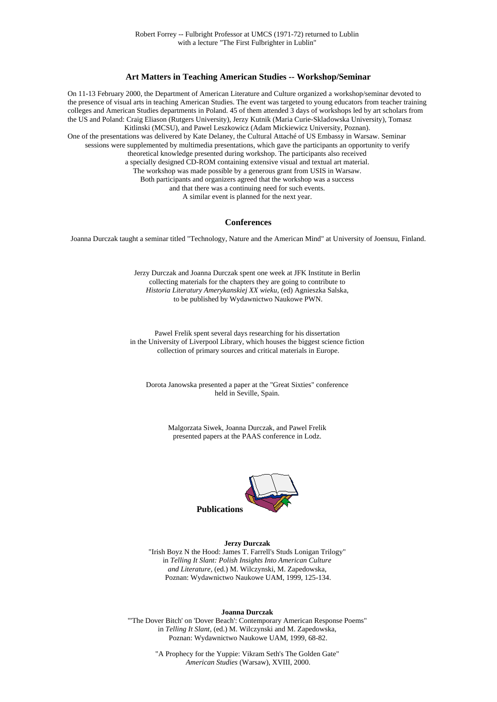#### **Art Matters in Teaching American Studies -- Workshop/Seminar**

On 11-13 February 2000, the Department of American Literature and Culture organized a workshop/seminar devoted to the presence of visual arts in teaching American Studies. The event was targeted to young educators from teacher training colleges and American Studies departments in Poland. 45 of them attended 3 days of workshops led by art scholars from the US and Poland: Craig Eliason (Rutgers University), Jerzy Kutnik (Maria Curie-Skladowska University), Tomasz Kitlinski (MCSU), and Pawel Leszkowicz (Adam Mickiewicz University, Poznan). One of the presentations was delivered by Kate Delaney, the Cultural Attaché of US Embassy in Warsaw. Seminar sessions were supplemented by multimedia presentations, which gave the participants an opportunity to verify theoretical knowledge presented during workshop. The participants also received a specially designed CD-ROM containing extensive visual and textual art material. The workshop was made possible by a generous grant from USIS in Warsaw. Both participants and organizers agreed that the workshop was a success and that there was a continuing need for such events. A similar event is planned for the next year.

#### **Conferences**

Joanna Durczak taught a seminar titled "Technology, Nature and the American Mind" at University of Joensuu, Finland.

Jerzy Durczak and Joanna Durczak spent one week at JFK Institute in Berlin collecting materials for the chapters they are going to contribute to *Historia Literatury Amerykanskiej XX wieku*, (ed) Agnieszka Salska, to be published by Wydawnictwo Naukowe PWN.

Pawel Frelik spent several days researching for his dissertation in the University of Liverpool Library, which houses the biggest science fiction collection of primary sources and critical materials in Europe.

Dorota Janowska presented a paper at the "Great Sixties" conference held in Seville, Spain.

> Malgorzata Siwek, Joanna Durczak, and Pawel Frelik presented papers at the PAAS conference in Lodz.



#### **Jerzy Durczak**

"Irish Boyz N the Hood: James T. Farrell's Studs Lonigan Trilogy" in *Telling It Slant: Polish Insights Into American Culture and Literature*, (ed.) M. Wilczynski, M. Zapedowska, Poznan: Wydawnictwo Naukowe UAM, 1999, 125-134.

#### **Joanna Durczak**

"'The Dover Bitch' on 'Dover Beach': Contemporary American Response Poems" in *Telling It Slant*, (ed.) M. Wilczynski and M. Zapedowska, Poznan: Wydawnictwo Naukowe UAM, 1999, 68-82.

> "A Prophecy for the Yuppie: Vikram Seth's The Golden Gate" *American Studies* (Warsaw), XVIII, 2000.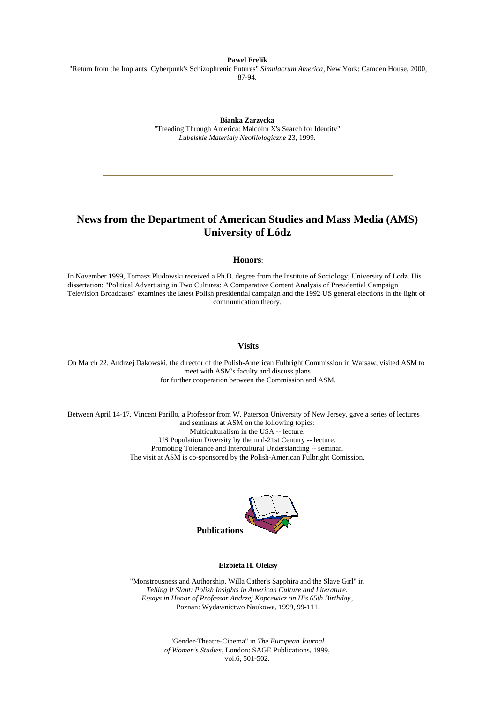**Pawel Frelik**

"Return from the Implants: Cyberpunk's Schizophrenic Futures" *Simulacrum America*, New York: Camden House, 2000, 87-94.

**Bianka Zarzycka**

"Treading Through America: Malcolm X's Search for Identity" *Lubelskie Materialy Neofilologiczne* 23, 1999.

# **News from the Department of American Studies and Mass Media (AMS) University of Lódz**

#### **Honors**:

In November 1999, Tomasz Pludowski received a Ph.D. degree from the Institute of Sociology, University of Lodz. His dissertation: "Political Advertising in Two Cultures: A Comparative Content Analysis of Presidential Campaign Television Broadcasts" examines the latest Polish presidential campaign and the 1992 US general elections in the light of communication theory.

### **Visits**

On March 22, Andrzej Dakowski, the director of the Polish-American Fulbright Commission in Warsaw, visited ASM to meet with ASM's faculty and discuss plans for further cooperation between the Commission and ASM.

Between April 14-17, Vincent Parillo, a Professor from W. Paterson University of New Jersey, gave a series of lectures and seminars at ASM on the following topics: Multiculturalism in the USA -- lecture. US Population Diversity by the mid-21st Century -- lecture. Promoting Tolerance and Intercultural Understanding -- seminar. The visit at ASM is co-sponsored by the Polish-American Fulbright Comission.



#### **Elzbieta H. Oleksy**

"Monstrousness and Authorship. Willa Cather's Sapphira and the Slave Girl" in *Telling It Slant: Polish Insights in American Culture and Literature. Essays in Honor of Professor Andrzej Kopcewicz on His 65th Birthday*, Poznan: Wydawnictwo Naukowe, 1999, 99-111.

> "Gender-Theatre-Cinema" in *The European Journal of Women's Studies*, London: SAGE Publications, 1999, vol.6, 501-502.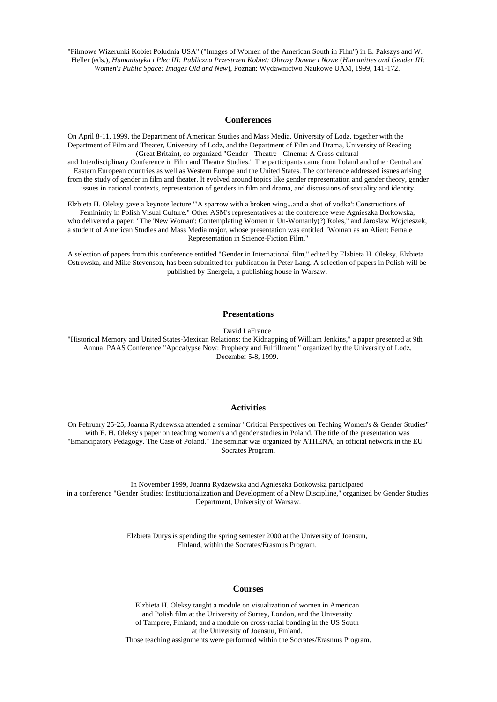"Filmowe Wizerunki Kobiet Poludnia USA" ("Images of Women of the American South in Film") in E. Pakszys and W. Heller (eds.), *Humanistyka i Plec III: Publiczna Przestrzen Kobiet: Obrazy Dawne i Nowe* (*Humanities and Gender III: Women's Public Space: Images Old and New*), Poznan: Wydawnictwo Naukowe UAM, 1999, 141-172.

#### **Conferences**

On April 8-11, 1999, the Department of American Studies and Mass Media, University of Lodz, together with the Department of Film and Theater, University of Lodz, and the Department of Film and Drama, University of Reading (Great Britain), co-organized "Gender - Theatre - Cinema: A Cross-cultural

and Interdisciplinary Conference in Film and Theatre Studies." The participants came from Poland and other Central and Eastern European countries as well as Western Europe and the United States. The conference addressed issues arising from the study of gender in film and theater. It evolved around topics like gender representation and gender theory, gender issues in national contexts, representation of genders in film and drama, and discussions of sexuality and identity.

Elzbieta H. Oleksy gave a keynote lecture "'A sparrow with a broken wing...and a shot of vodka': Constructions of Femininity in Polish Visual Culture." Other ASM's representatives at the conference were Agnieszka Borkowska, who delivered a paper: "The 'New Woman': Contemplating Women in Un-Womanly(?) Roles," and Jaroslaw Wojcieszek, a student of American Studies and Mass Media major, whose presentation was entitled "Woman as an Alien: Female Representation in Science-Fiction Film."

A selection of papers from this conference entitled "Gender in International film," edited by Elzbieta H. Oleksy, Elzbieta Ostrowska, and Mike Stevenson, has been submitted for publication in Peter Lang. A selection of papers in Polish will be published by Energeia, a publishing house in Warsaw.

### **Presentations**

David LaFrance

"Historical Memory and United States-Mexican Relations: the Kidnapping of William Jenkins," a paper presented at 9th Annual PAAS Conference "Apocalypse Now: Prophecy and Fulfillment," organized by the University of Lodz, December 5-8, 1999.

#### **Activities**

On February 25-25, Joanna Rydzewska attended a seminar "Critical Perspectives on Teching Women's & Gender Studies" with E. H. Oleksy's paper on teaching women's and gender studies in Poland. The title of the presentation was "Emancipatory Pedagogy. The Case of Poland." The seminar was organized by ATHENA, an official network in the EU Socrates Program.

In November 1999, Joanna Rydzewska and Agnieszka Borkowska participated in a conference "Gender Studies: Institutionalization and Development of a New Discipline," organized by Gender Studies Department, University of Warsaw.

> Elzbieta Durys is spending the spring semester 2000 at the University of Joensuu, Finland, within the Socrates/Erasmus Program.

### **Courses**

Elzbieta H. Oleksy taught a module on visualization of women in American and Polish film at the University of Surrey, London, and the University of Tampere, Finland; and a module on cross-racial bonding in the US South at the University of Joensuu, Finland. Those teaching assignments were performed within the Socrates/Erasmus Program.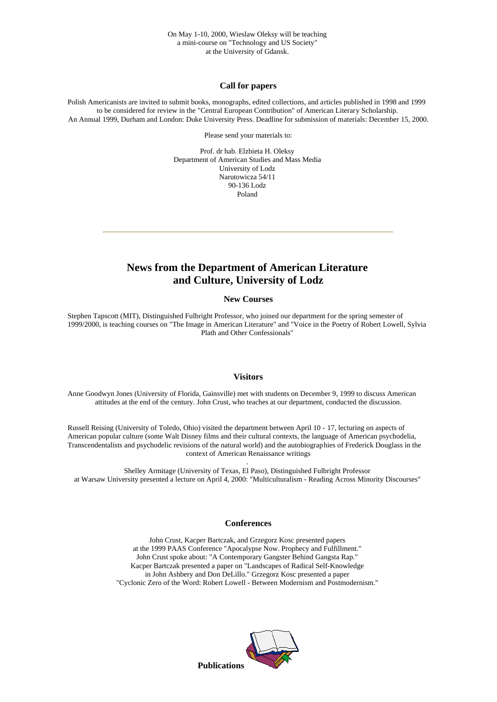### **Call for papers**

Polish Americanists are invited to submit books, monographs, edited collections, and articles published in 1998 and 1999 to be considered for review in the "Central European Contribution" of American Literary Scholarship. An Annual 1999, Durham and London: Duke University Press. Deadline for submission of materials: December 15, 2000.

Please send your materials to:

Prof. dr hab. Elzbieta H. Oleksy Department of American Studies and Mass Media University of Lodz Narutowicza 54/11 90-136 Lodz Poland

# **News from the Department of American Literature and Culture, University of Lodz**

#### **New Courses**

Stephen Tapscott (MIT), Distinguished Fulbright Professor, who joined our department for the spring semester of 1999/2000, is teaching courses on "The Image in American Literature" and "Voice in the Poetry of Robert Lowell, Sylvia Plath and Other Confessionals"

#### **Visitors**

Anne Goodwyn Jones (University of Florida, Gainsville) met with students on December 9, 1999 to discuss American attitudes at the end of the century. John Crust, who teaches at our department, conducted the discussion.

Russell Reising (University of Toledo, Ohio) visited the department between April 10 - 17, lecturing on aspects of American popular culture (some Walt Disney films and their cultural contexts, the language of American psychodelia, Transcendentalists and psychodelic revisions of the natural world) and the autobiographies of Frederick Douglass in the context of American Renaissance writings

. Shelley Armitage (University of Texas, El Paso), Distinguished Fulbright Professor at Warsaw University presented a lecture on April 4, 2000: "Multiculturalism - Reading Across Minority Discourses"

#### **Conferences**

John Crust, Kacper Bartczak, and Grzegorz Kosc presented papers at the 1999 PAAS Conference "Apocalypse Now. Prophecy and Fulfillment." John Crust spoke about: "A Contemporary Gangster Behind Gangsta Rap." Kacper Bartczak presented a paper on "Landscapes of Radical Self-Knowledge in John Ashbery and Don DeLillo." Grzegorz Kosc presented a paper "Cyclonic Zero of the Word: Robert Lowell - Between Modernism and Postmodernism."



**Publications**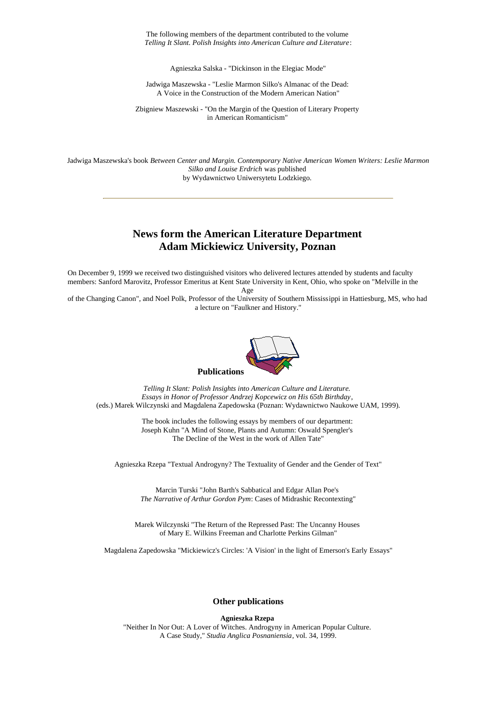The following members of the department contributed to the volume *Telling It Slant. Polish Insights into American Culture and Literature*:

Agnieszka Salska - "Dickinson in the Elegiac Mode"

Jadwiga Maszewska - "Leslie Marmon Silko's Almanac of the Dead: A Voice in the Construction of the Modern American Nation"

Zbigniew Maszewski - "On the Margin of the Question of Literary Property in American Romanticism"

Jadwiga Maszewska's book *Between Center and Margin. Contemporary Native American Women Writers: Leslie Marmon Silko and Louise Erdrich* was published by Wydawnictwo Uniwersytetu Lodzkiego.

### **News form the American Literature Department Adam Mickiewicz University, Poznan**

On December 9, 1999 we received two distinguished visitors who delivered lectures attended by students and faculty members: Sanford Marovitz, Professor Emeritus at Kent State University in Kent, Ohio, who spoke on "Melville in the

Age

of the Changing Canon", and Noel Polk, Professor of the University of Southern Mississippi in Hattiesburg, MS, who had a lecture on "Faulkner and History."



*Telling It Slant: Polish Insights into American Culture and Literature. Essays in Honor of Professor Andrzej Kopcewicz on His 65th Birthday*, (eds.) Marek Wilczynski and Magdalena Zapedowska (Poznan: Wydawnictwo Naukowe UAM, 1999).

> The book includes the following essays by members of our department: Joseph Kuhn "A Mind of Stone, Plants and Autumn: Oswald Spengler's The Decline of the West in the work of Allen Tate"

Agnieszka Rzepa "Textual Androgyny? The Textuality of Gender and the Gender of Text"

Marcin Turski "John Barth's Sabbatical and Edgar Allan Poe's *The Narrative of Arthur Gordon Pym*: Cases of Midrashic Recontexting"

Marek Wilczynski "The Return of the Repressed Past: The Uncanny Houses of Mary E. Wilkins Freeman and Charlotte Perkins Gilman"

Magdalena Zapedowska "Mickiewicz's Circles: 'A Vision' in the light of Emerson's Early Essays"

#### **Other publications**

**Agnieszka Rzepa** "Neither In Nor Out: A Lover of Witches. Androgyny in American Popular Culture. A Case Study," *Studia Anglica Posnaniensia*, vol. 34, 1999.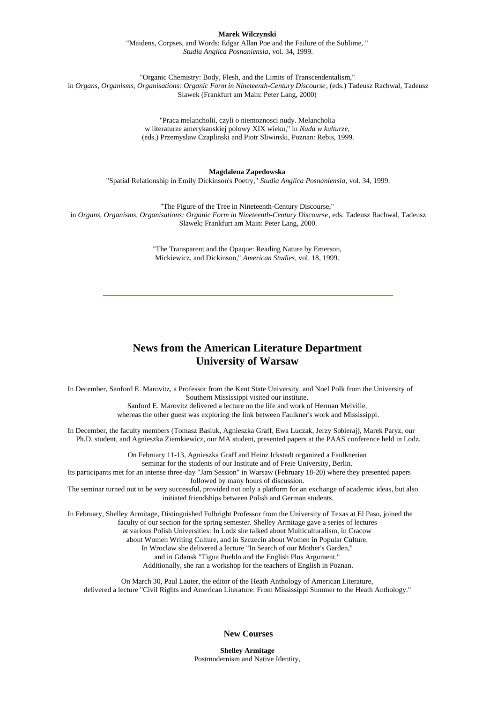#### **Marek Wilczynski**

"Maidens, Corpses, and Words: Edgar Allan Poe and the Failure of the Sublime, " *Studia Anglica Posnaniensia*, vol. 34, 1999.

"Organic Chemistry: Body, Flesh, and the Limits of Transcendentalism," in *Organs, Organisms, Organisations: Organic Form in Nineteenth-Century Discourse*, (eds.) Tadeusz Rachwal, Tadeusz Slawek (Frankfurt am Main: Peter Lang, 2000)

> "Praca melancholii, czyli o niemoznosci nudy. Melancholia w literaturze amerykanskiej polowy XIX wieku," in *Nuda w kulturze*, (eds.) Przemyslaw Czaplinski and Piotr Sliwinski, Poznan: Rebis, 1999.

> > **Magdalena Zapedowska**

"Spatial Relationship in Emily Dickinson's Poetry," *Studia Anglica Posnaniensia*, vol. 34, 1999.

"The Figure of the Tree in Nineteenth-Century Discourse," in *Organs, Organisms, Organisations: Organic Form in Nineteenth-Century Discourse*, eds. Tadeusz Rachwal, Tadeusz Slawek; Frankfurt am Main: Peter Lang, 2000.

> "The Transparent and the Opaque: Reading Nature by Emerson, Mickiewicz, and Dickinson," *American Studies*, vol. 18, 1999.

## **News from the American Literature Department University of Warsaw**

In December, Sanford E. Marovitz, a Professor from the Kent State University, and Noel Polk from the University of Southern Mississippi visited our institute.

Sanford E. Marovitz delivered a lecture on the life and work of Herman Melville, whereas the other guest was exploring the link between Faulkner's work and Mississippi.

In December, the faculty members (Tomasz Basiuk, Agnieszka Graff, Ewa Luczak, Jerzy Sobieraj), Marek Paryz, our Ph.D. student, and Agnieszka Ziemkiewicz, our MA student, presented papers at the PAAS conference held in Lodz.

> On February 11-13, Agnieszka Graff and Heinz Ickstadt organized a Faulknerian seminar for the students of our Institute and of Freie University, Berlin.

Its participants met for an intense three-day "Jam Session" in Warsaw (February 18-20) where they presented papers followed by many hours of discussion.

The seminar turned out to be very successful, provided not only a platform for an exchange of academic ideas, but also initiated friendships between Polish and German students.

In February, Shelley Armitage, Distinguished Fulbright Professor from the University of Texas at El Paso, joined the faculty of our section for the spring semester. Shelley Armitage gave a series of lectures at various Polish Universities: In Lodz she talked about Multiculturalism, in Cracow

about Women Writing Culture, and in Szczecin about Women in Popular Culture.

In Wroclaw she delivered a lecture "In Search of our Mother's Garden,"

and in Gdansk "Tigua Pueblo and the English Plus Argument." Additionally, she ran a workshop for the teachers of English in Poznan.

On March 30, Paul Lauter, the editor of the Heath Anthology of American Literature, delivered a lecture "Civil Rights and American Literature: From Mississippi Summer to the Heath Anthology."

**New Courses**

**Shelley Armitage** Postmodernism and Native Identity,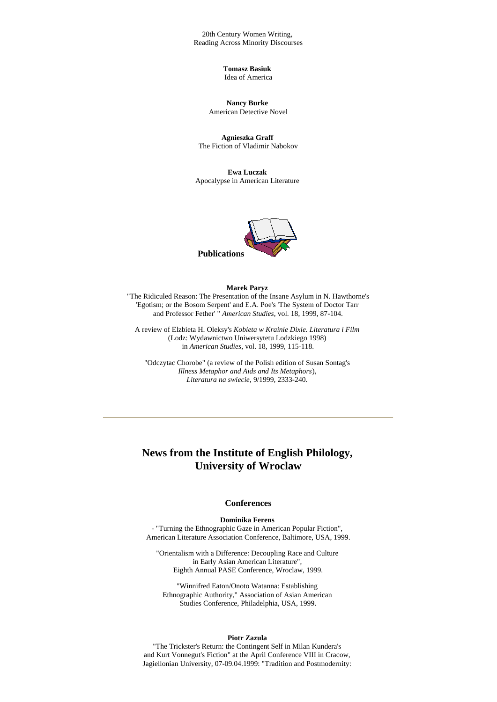20th Century Women Writing, Reading Across Minority Discourses

> **Tomasz Basiuk** Idea of America

**Nancy Burke** American Detective Novel

**Agnieszka Graff** The Fiction of Vladimir Nabokov

**Ewa Luczak** Apocalypse in American Literature



#### **Marek Paryz**

 "The Ridiculed Reason: The Presentation of the Insane Asylum in N. Hawthorne's 'Egotism; or the Bosom Serpent' and E.A. Poe's 'The System of Doctor Tarr and Professor Fether' " *American Studies*, vol. 18, 1999, 87-104.

A review of Elzbieta H. Oleksy's *Kobieta w Krainie Dixie. Literatura i Film* (Lodz: Wydawnictwo Uniwersytetu Lodzkiego 1998) in *American Studies*, vol. 18, 1999, 115-118.

"Odczytac Chorobe" (a review of the Polish edition of Susan Sontag's *Illness Metaphor and Aids and Its Metaphors*), *Literatura na swiecie*, 9/1999, 2333-240.

# **News from the Institute of English Philology, University of Wroclaw**

#### **Conferences**

### **Dominika Ferens**

- "Turning the Ethnographic Gaze in American Popular Fiction", American Literature Association Conference, Baltimore, USA, 1999.

"Orientalism with a Difference: Decoupling Race and Culture in Early Asian American Literature", Eighth Annual PASE Conference, Wroclaw, 1999.

"Winnifred Eaton/Onoto Watanna: Establishing Ethnographic Authority," Association of Asian American Studies Conference, Philadelphia, USA, 1999.

#### **Piotr Zazula**

"The Trickster's Return: the Contingent Self in Milan Kundera's and Kurt Vonnegut's Fiction" at the April Conference VIII in Cracow, Jagiellonian University, 07-09.04.1999: "Tradition and Postmodernity: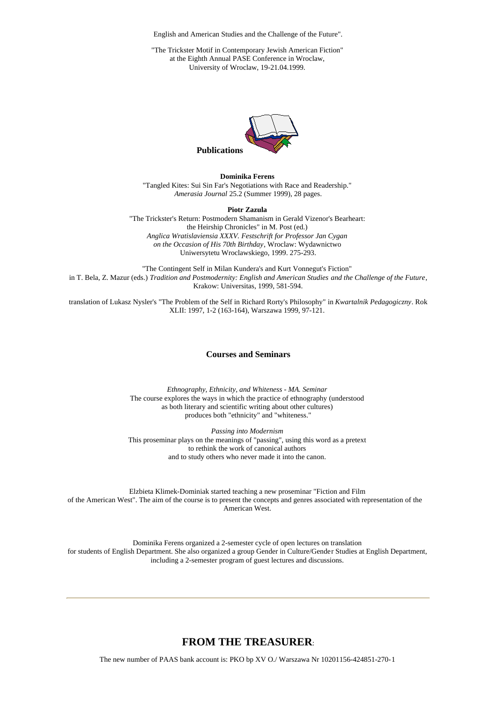English and American Studies and the Challenge of the Future".

"The Trickster Motif in Contemporary Jewish American Fiction" at the Eighth Annual PASE Conference in Wroclaw, University of Wroclaw, 19-21.04.1999.



**Dominika Ferens** "Tangled Kites: Sui Sin Far's Negotiations with Race and Readership." *Amerasia Journal* 25.2 (Summer 1999), 28 pages.

**Piotr Zazula**

"The Trickster's Return: Postmodern Shamanism in Gerald Vizenor's Bearheart: the Heirship Chronicles" in M. Post (ed.) *Anglica Wratislaviensia XXXV. Festschrift for Professor Jan Cygan on the Occasion of His 70th Birthday*, Wroclaw: Wydawnictwo Uniwersytetu Wroclawskiego, 1999. 275-293.

"The Contingent Self in Milan Kundera's and Kurt Vonnegut's Fiction" in T. Bela, Z. Mazur (eds.) *Tradition and Postmodernity: English and American Studies and the Challenge of the Future*, Krakow: Universitas, 1999, 581-594.

translation of Lukasz Nysler's "The Problem of the Self in Richard Rorty's Philosophy" in *Kwartalnik Pedagogiczny*. Rok XLII: 1997, 1-2 (163-164), Warszawa 1999, 97-121.

### **Courses and Seminars**

*Ethnography, Ethnicity, and Whiteness - MA. Seminar* The course explores the ways in which the practice of ethnography (understood as both literary and scientific writing about other cultures) produces both "ethnicity" and "whiteness."

*Passing into Modernism* This proseminar plays on the meanings of "passing", using this word as a pretext to rethink the work of canonical authors and to study others who never made it into the canon.

Elzbieta Klimek-Dominiak started teaching a new proseminar "Fiction and Film of the American West". The aim of the course is to present the concepts and genres associated with representation of the American West.

Dominika Ferens organized a 2-semester cycle of open lectures on translation for students of English Department. She also organized a group Gender in Culture/Gender Studies at English Department, including a 2-semester program of guest lectures and discussions.

### **FROM THE TREASURER**:

The new number of PAAS bank account is: PKO bp XV O./ Warszawa Nr 10201156-424851-270-1